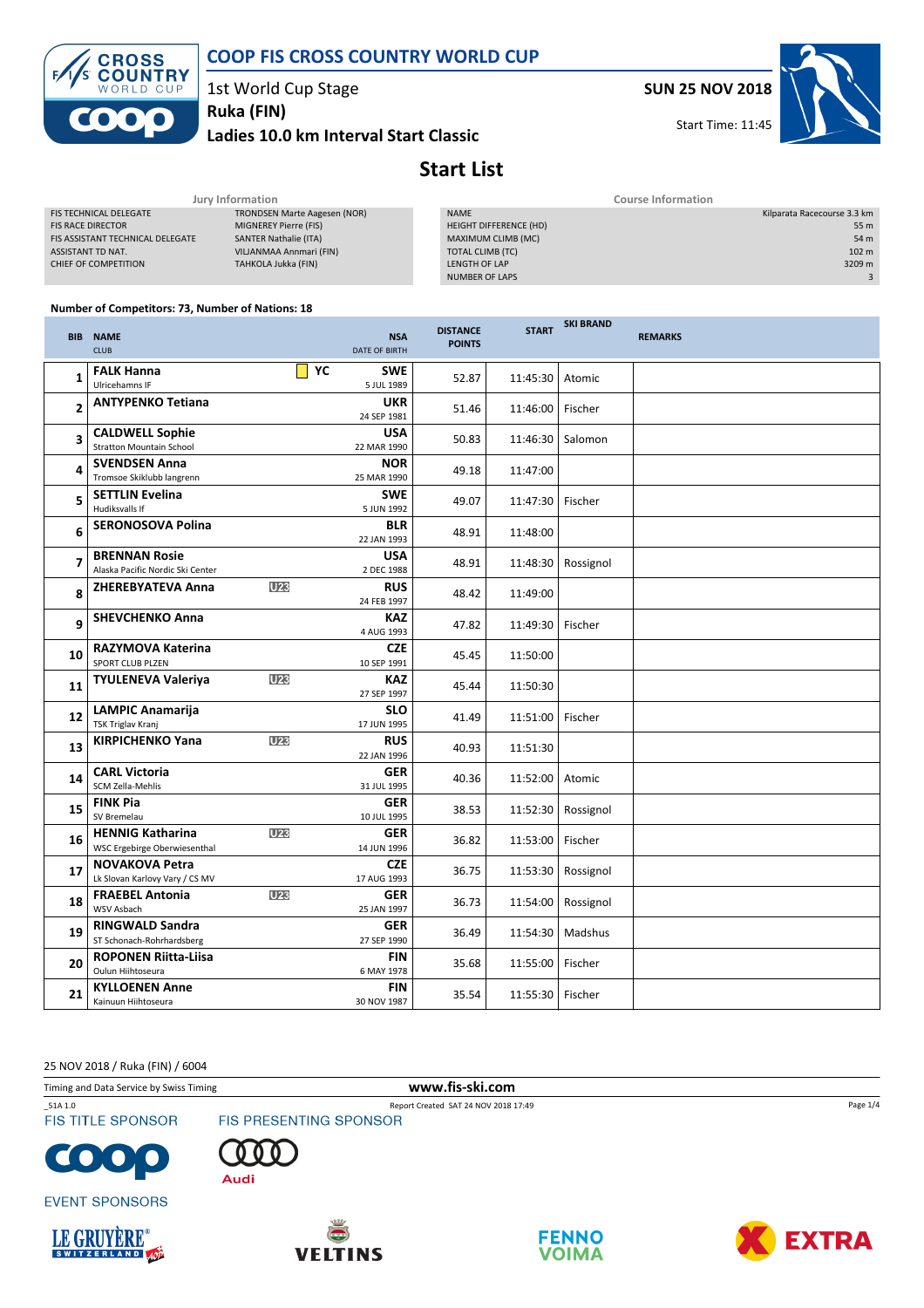



1st World Cup Stage

Ladies 10.0 km Interval Start Classic Ruka (FIN)

SUN 25 NOV 2018

Start Time: 11:45



# Start List

| Jury Information                 |                                     |  | <b>Course Information</b>     |                             |  |
|----------------------------------|-------------------------------------|--|-------------------------------|-----------------------------|--|
| <b>FIS TECHNICAL DELEGATE</b>    | <b>TRONDSEN Marte Aagesen (NOR)</b> |  | <b>NAME</b>                   | Kilparata Racecourse 3.3 km |  |
| <b>FIS RACE DIRECTOR</b>         | MIGNEREY Pierre (FIS)               |  | <b>HEIGHT DIFFERENCE (HD)</b> | 55 m                        |  |
| FIS ASSISTANT TECHNICAL DELEGATE | <b>SANTER Nathalie (ITA)</b>        |  | MAXIMUM CLIMB (MC)            | 54 m                        |  |
| ASSISTANT TD NAT.                | VILJANMAA Annmari (FIN)             |  | TOTAL CLIMB (TC)              | 102 <sub>m</sub>            |  |
| CHIEF OF COMPETITION             | TAHKOLA Jukka (FIN)                 |  | LENGTH OF LAP                 | 3209 m                      |  |
|                                  |                                     |  | NUMBER OF LAPS                |                             |  |

SKI BRAND

#### Number of Competitors: 73, Number of Nations: 18

|    | <b>BIB NAME</b><br><b>CLUB</b>                            |                 | <b>NSA</b><br><b>DATE OF BIRTH</b> | <b>DISTANCE</b><br><b>POINTS</b> | <b>START</b> | <b>SNI DRAIVU</b> | <b>REMARKS</b> |
|----|-----------------------------------------------------------|-----------------|------------------------------------|----------------------------------|--------------|-------------------|----------------|
| 1  | <b>FALK Hanna</b><br>Ulricehamns IF                       |                 | YC<br><b>SWE</b><br>5 JUL 1989     | 52.87                            | 11:45:30     | Atomic            |                |
| 2  | <b>ANTYPENKO Tetiana</b>                                  |                 | <b>UKR</b><br>24 SEP 1981          | 51.46                            | 11:46:00     | Fischer           |                |
| 3  | <b>CALDWELL Sophie</b><br><b>Stratton Mountain School</b> |                 | <b>USA</b><br>22 MAR 1990          | 50.83                            | 11:46:30     | Salomon           |                |
| 4  | <b>SVENDSEN Anna</b><br>Tromsoe Skiklubb langrenn         |                 | <b>NOR</b><br>25 MAR 1990          | 49.18                            | 11:47:00     |                   |                |
| 5  | <b>SETTLIN Evelina</b><br>Hudiksvalls If                  |                 | <b>SWE</b><br>5 JUN 1992           | 49.07                            | 11:47:30     | Fischer           |                |
| 6  | <b>SERONOSOVA Polina</b>                                  |                 | <b>BLR</b><br>22 JAN 1993          | 48.91                            | 11:48:00     |                   |                |
| 7  | <b>BRENNAN Rosie</b><br>Alaska Pacific Nordic Ski Center  |                 | <b>USA</b><br>2 DEC 1988           | 48.91                            | 11:48:30     | Rossignol         |                |
| 8  | <b>ZHEREBYATEVA Anna</b>                                  | U <sub>23</sub> | <b>RUS</b><br>24 FEB 1997          | 48.42                            | 11:49:00     |                   |                |
| 9  | <b>SHEVCHENKO Anna</b>                                    |                 | <b>KAZ</b><br>4 AUG 1993           | 47.82                            | 11:49:30     | Fischer           |                |
| 10 | <b>RAZYMOVA Katerina</b><br><b>SPORT CLUB PLZEN</b>       |                 | <b>CZE</b><br>10 SEP 1991          | 45.45                            | 11:50:00     |                   |                |
| 11 | <b>TYULENEVA Valeriya</b>                                 | <b>U23</b>      | <b>KAZ</b><br>27 SEP 1997          | 45.44                            | 11:50:30     |                   |                |
| 12 | <b>LAMPIC Anamarija</b><br><b>TSK Triglav Kranj</b>       |                 | <b>SLO</b><br>17 JUN 1995          | 41.49                            | 11:51:00     | Fischer           |                |
| 13 | <b>KIRPICHENKO Yana</b>                                   | U <sub>23</sub> | <b>RUS</b><br>22 JAN 1996          | 40.93                            | 11:51:30     |                   |                |
| 14 | <b>CARL Victoria</b><br>SCM Zella-Mehlis                  |                 | <b>GER</b><br>31 JUL 1995          | 40.36                            | 11:52:00     | Atomic            |                |
| 15 | <b>FINK Pia</b><br>SV Bremelau                            |                 | <b>GER</b><br>10 JUL 1995          | 38.53                            | 11:52:30     | Rossignol         |                |
| 16 | <b>HENNIG Katharina</b><br>WSC Ergebirge Oberwiesenthal   | <b>U23</b>      | <b>GER</b><br>14 JUN 1996          | 36.82                            | 11:53:00     | Fischer           |                |
| 17 | <b>NOVAKOVA Petra</b><br>Lk Slovan Karlovy Vary / CS MV   |                 | <b>CZE</b><br>17 AUG 1993          | 36.75                            | 11:53:30     | Rossignol         |                |
| 18 | <b>FRAEBEL Antonia</b><br>WSV Asbach                      | U23             | <b>GER</b><br>25 JAN 1997          | 36.73                            | 11:54:00     | Rossignol         |                |
| 19 | <b>RINGWALD Sandra</b><br>ST Schonach-Rohrhardsberg       |                 | <b>GER</b><br>27 SEP 1990          | 36.49                            | 11:54:30     | Madshus           |                |
| 20 | <b>ROPONEN Riitta-Liisa</b><br>Oulun Hiihtoseura          |                 | <b>FIN</b><br>6 MAY 1978           | 35.68                            | 11:55:00     | Fischer           |                |
| 21 | <b>KYLLOENEN Anne</b><br>Kainuun Hiihtoseura              |                 | <b>FIN</b><br>30 NOV 1987          | 35.54                            | 11:55:30     | Fischer           |                |

25 NOV 2018 / Ruka (FIN) / 6004

Timing and Data Service by Swiss Timing www.fis-ski.com

\_51A 1.0 Report Created SAT 24 NOV 2018 17:49<br>
FIS TITLE SPONSOR FIS PRESENTING SPONSOR **FIS TITLE SPONSOR** 















Page 1/4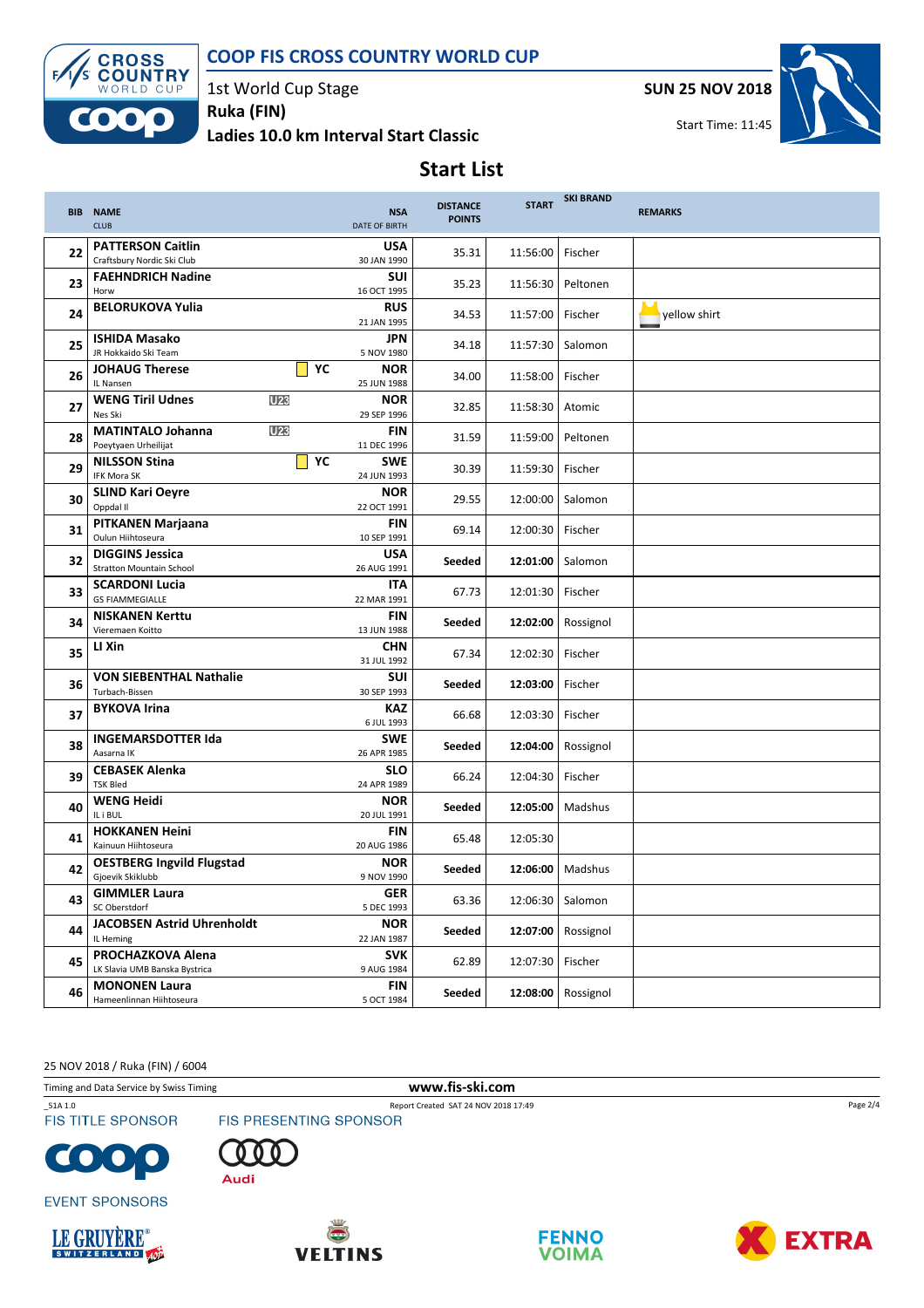### COOP FIS CROSS COUNTRY WORLD CUP



1st World Cup Stage Ruka (FIN)

Ladies 10.0 km Interval Start Classic

SUN 25 NOV 2018



Start Time: 11:45

# Start List

|    | <b>BIB NAME</b><br><b>CLUB</b>                            | <b>NSA</b><br><b>DATE OF BIRTH</b> | <b>DISTANCE</b><br><b>POINTS</b> | <b>START</b> | <b>SKI BRAND</b> | <b>REMARKS</b>             |
|----|-----------------------------------------------------------|------------------------------------|----------------------------------|--------------|------------------|----------------------------|
| 22 | <b>PATTERSON Caitlin</b><br>Craftsbury Nordic Ski Club    | <b>USA</b><br>30 JAN 1990          | 35.31                            | 11:56:00     | Fischer          |                            |
| 23 | <b>FAEHNDRICH Nadine</b><br>Horw                          | <b>SUI</b><br>16 OCT 1995          | 35.23                            | 11:56:30     | Peltonen         |                            |
| 24 | <b>BELORUKOVA Yulia</b>                                   | <b>RUS</b><br>21 JAN 1995          | 34.53                            | 11:57:00     | Fischer          | $\rightarrow$ yellow shirt |
| 25 | <b>ISHIDA Masako</b><br>JR Hokkaido Ski Team              | <b>JPN</b><br>5 NOV 1980           | 34.18                            | 11:57:30     | Salomon          |                            |
| 26 | YC<br><b>JOHAUG Therese</b><br>IL Nansen                  | <b>NOR</b><br>25 JUN 1988          | 34.00                            | 11:58:00     | Fischer          |                            |
| 27 | <b>WENG Tiril Udnes</b><br>U <sub>23</sub><br>Nes Ski     | <b>NOR</b><br>29 SEP 1996          | 32.85                            | 11:58:30     | Atomic           |                            |
| 28 | U23<br><b>MATINTALO Johanna</b><br>Poeytyaen Urheilijat   | <b>FIN</b><br>11 DEC 1996          | 31.59                            | 11:59:00     | Peltonen         |                            |
| 29 | YC<br><b>NILSSON Stina</b><br>IFK Mora SK                 | <b>SWE</b><br>24 JUN 1993          | 30.39                            | 11:59:30     | Fischer          |                            |
| 30 | <b>SLIND Kari Oeyre</b><br>Oppdal II                      | <b>NOR</b><br>22 OCT 1991          | 29.55                            | 12:00:00     | Salomon          |                            |
| 31 | <b>PITKANEN Marjaana</b><br>Oulun Hiihtoseura             | <b>FIN</b><br>10 SEP 1991          | 69.14                            | 12:00:30     | Fischer          |                            |
| 32 | <b>DIGGINS Jessica</b><br><b>Stratton Mountain School</b> | <b>USA</b><br>26 AUG 1991          | Seeded                           | 12:01:00     | Salomon          |                            |
| 33 | <b>SCARDONI Lucia</b><br><b>GS FIAMMEGIALLE</b>           | <b>ITA</b><br>22 MAR 1991          | 67.73                            | 12:01:30     | Fischer          |                            |
| 34 | <b>NISKANEN Kerttu</b><br>Vieremaen Koitto                | <b>FIN</b><br>13 JUN 1988          | Seeded                           | 12:02:00     | Rossignol        |                            |
| 35 | LI Xin                                                    | <b>CHN</b><br>31 JUL 1992          | 67.34                            | 12:02:30     | Fischer          |                            |
| 36 | <b>VON SIEBENTHAL Nathalie</b><br>Turbach-Bissen          | <b>SUI</b><br>30 SEP 1993          | Seeded                           | 12:03:00     | Fischer          |                            |
| 37 | <b>BYKOVA Irina</b>                                       | <b>KAZ</b><br>6 JUL 1993           | 66.68                            | 12:03:30     | Fischer          |                            |
| 38 | <b>INGEMARSDOTTER Ida</b><br>Aasarna IK                   | <b>SWE</b><br>26 APR 1985          | Seeded                           | 12:04:00     | Rossignol        |                            |
| 39 | <b>CEBASEK Alenka</b><br><b>TSK Bled</b>                  | <b>SLO</b><br>24 APR 1989          | 66.24                            | 12:04:30     | Fischer          |                            |
| 40 | <b>WENG Heidi</b><br>IL i BUL                             | <b>NOR</b><br>20 JUL 1991          | Seeded                           | 12:05:00     | Madshus          |                            |
| 41 | <b>HOKKANEN Heini</b><br>Kainuun Hiihtoseura              | <b>FIN</b><br>20 AUG 1986          | 65.48                            | 12:05:30     |                  |                            |
| 42 | <b>OESTBERG Ingvild Flugstad</b><br>Gjoevik Skiklubb      | <b>NOR</b><br>9 NOV 1990           | Seeded                           | 12:06:00     | Madshus          |                            |
| 43 | <b>GIMMLER Laura</b><br>SC Oberstdorf                     | GER<br>5 DEC 1993                  | 63.36                            | 12:06:30     | Salomon          |                            |
| 44 | <b>JACOBSEN Astrid Uhrenholdt</b><br>IL Heming            | <b>NOR</b><br>22 JAN 1987          | Seeded                           | 12:07:00     | Rossignol        |                            |
| 45 | PROCHAZKOVA Alena<br>LK Slavia UMB Banska Bystrica        | <b>SVK</b><br>9 AUG 1984           | 62.89                            | 12:07:30     | Fischer          |                            |
| 46 | <b>MONONEN Laura</b><br>Hameenlinnan Hiihtoseura          | <b>FIN</b><br>5 OCT 1984           | Seeded                           | 12:08:00     | Rossignol        |                            |

25 NOV 2018 / Ruka (FIN) / 6004

Timing and Data Service by Swiss Timing **www.fis-ski.com** 

**FIS TITLE SPONSOR** 





\_51A 1.0 Report Created SAT 24 NOV 2018 17:49<br>
FIS TITLE SPONSOR FIS PRESENTING SPONSOR







**EVENT SPONSORS** 







Page 2/4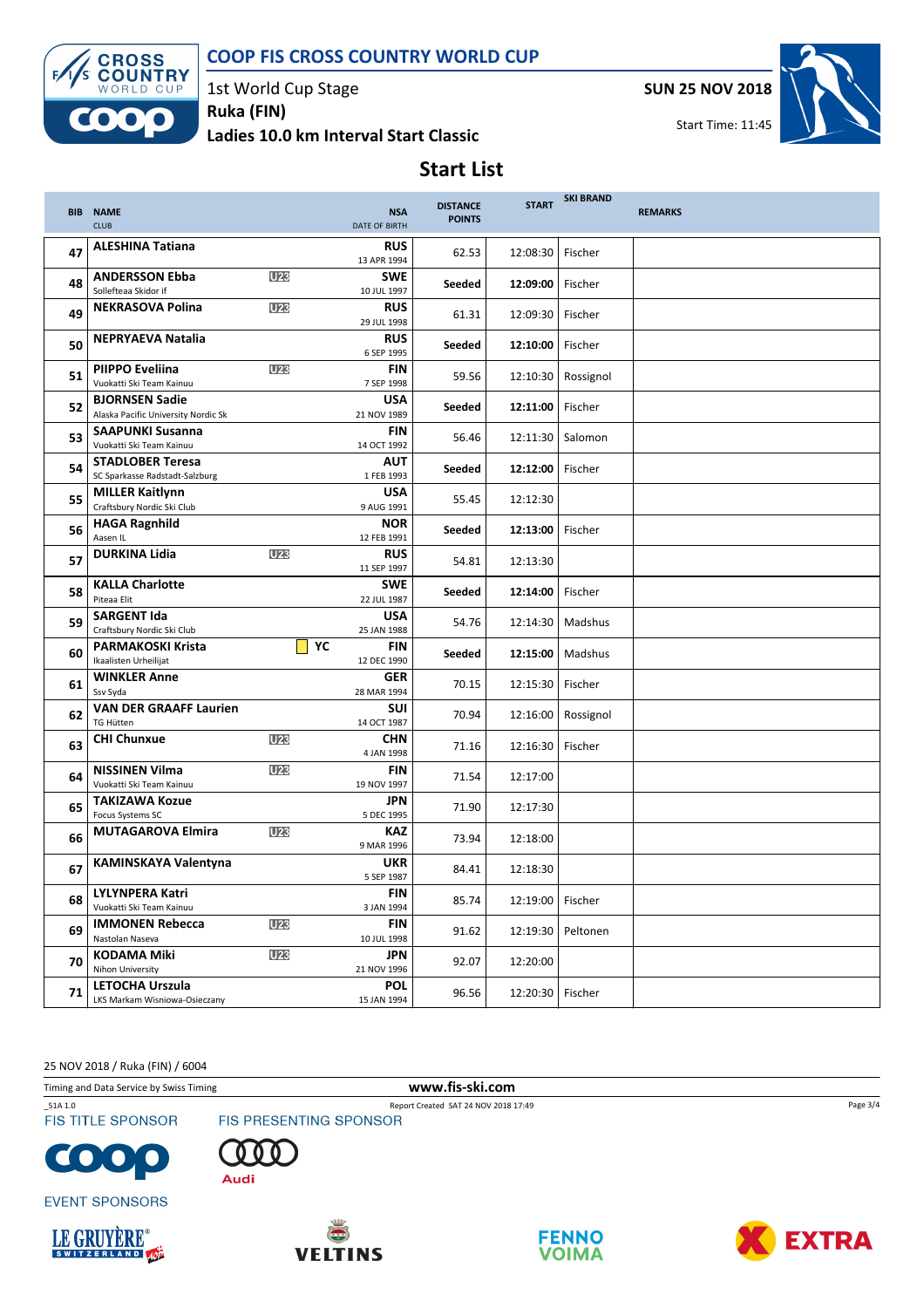### COOP FIS CROSS COUNTRY WORLD CUP



1st World Cup Stage

Ladies 10.0 km Interval Start Classic Ruka (FIN)

SUN 25 NOV 2018



## Start List

|    | <b>BIB NAME</b><br><b>CLUB</b>                               |                 | <b>NSA</b><br>DATE OF BIRTH | <b>DISTANCE</b><br><b>POINTS</b> | <b>START</b>       | <b>SKI BRAND</b> | <b>REMARKS</b> |
|----|--------------------------------------------------------------|-----------------|-----------------------------|----------------------------------|--------------------|------------------|----------------|
| 47 | <b>ALESHINA Tatiana</b>                                      |                 | <b>RUS</b><br>13 APR 1994   | 62.53                            | 12:08:30           | Fischer          |                |
| 48 | <b>ANDERSSON Ebba</b><br>Sollefteaa Skidor if                | U <sub>23</sub> | <b>SWE</b><br>10 JUL 1997   | Seeded                           | 12:09:00           | Fischer          |                |
| 49 | <b>NEKRASOVA Polina</b>                                      | U <sub>23</sub> | <b>RUS</b><br>29 JUL 1998   | 61.31                            | 12:09:30           | Fischer          |                |
| 50 | <b>NEPRYAEVA Natalia</b>                                     |                 | <b>RUS</b><br>6 SEP 1995    | Seeded                           | 12:10:00           | Fischer          |                |
| 51 | <b>PIIPPO Eveliina</b><br>Vuokatti Ski Team Kainuu           | <b>U23</b>      | <b>FIN</b><br>7 SEP 1998    | 59.56                            | 12:10:30           | Rossignol        |                |
| 52 | <b>BJORNSEN Sadie</b><br>Alaska Pacific University Nordic Sk |                 | <b>USA</b><br>21 NOV 1989   | Seeded                           | 12:11:00           | Fischer          |                |
| 53 | <b>SAAPUNKI Susanna</b><br>Vuokatti Ski Team Kainuu          |                 | <b>FIN</b><br>14 OCT 1992   | 56.46                            | 12:11:30           | Salomon          |                |
| 54 | <b>STADLOBER Teresa</b><br>SC Sparkasse Radstadt-Salzburg    |                 | <b>AUT</b><br>1 FEB 1993    | Seeded                           | 12:12:00           | Fischer          |                |
| 55 | <b>MILLER Kaitlynn</b><br>Craftsbury Nordic Ski Club         |                 | <b>USA</b><br>9 AUG 1991    | 55.45                            | 12:12:30           |                  |                |
| 56 | <b>HAGA Ragnhild</b><br>Aasen IL                             |                 | <b>NOR</b><br>12 FEB 1991   | Seeded                           | 12:13:00           | Fischer          |                |
| 57 | <b>DURKINA Lidia</b>                                         | U <sub>23</sub> | <b>RUS</b><br>11 SEP 1997   | 54.81                            | 12:13:30           |                  |                |
| 58 | <b>KALLA Charlotte</b><br>Piteaa Elit                        |                 | <b>SWE</b><br>22 JUL 1987   | Seeded                           | 12:14:00           | Fischer          |                |
| 59 | <b>SARGENT Ida</b><br>Craftsbury Nordic Ski Club             |                 | <b>USA</b><br>25 JAN 1988   | 54.76                            | 12:14:30           | Madshus          |                |
| 60 | <b>PARMAKOSKI Krista</b><br>Ikaalisten Urheilijat            | YC              | <b>FIN</b><br>12 DEC 1990   | Seeded                           | 12:15:00           | Madshus          |                |
| 61 | <b>WINKLER Anne</b><br>Ssv Syda                              |                 | <b>GER</b><br>28 MAR 1994   | 70.15                            | 12:15:30           | Fischer          |                |
| 62 | <b>VAN DER GRAAFF Laurien</b><br><b>TG Hütten</b>            |                 | SUI<br>14 OCT 1987          | 70.94                            | 12:16:00           | Rossignol        |                |
| 63 | <b>CHI Chunxue</b>                                           | U <sub>23</sub> | <b>CHN</b><br>4 JAN 1998    | 71.16                            | 12:16:30           | Fischer          |                |
| 64 | <b>NISSINEN Vilma</b><br>Vuokatti Ski Team Kainuu            | <b>U23</b>      | <b>FIN</b><br>19 NOV 1997   | 71.54                            | 12:17:00           |                  |                |
| 65 | <b>TAKIZAWA Kozue</b><br>Focus Systems SC                    |                 | <b>JPN</b><br>5 DEC 1995    | 71.90                            | 12:17:30           |                  |                |
| 66 | <b>MUTAGAROVA Elmira</b>                                     | U <sub>23</sub> | <b>KAZ</b><br>9 MAR 1996    | 73.94                            | 12:18:00           |                  |                |
| 67 | <b>KAMINSKAYA Valentyna</b>                                  |                 | <b>UKR</b><br>5 SEP 1987    | 84.41                            | 12:18:30           |                  |                |
| 68 | <b>LYLYNPERA Katri</b><br>Vuokatti Ski Team Kainuu           |                 | <b>FIN</b><br>3 JAN 1994    | 85.74                            | 12:19:00           | Fischer          |                |
| 69 | <b>IMMONEN Rebecca</b><br>Nastolan Naseva                    | U <sub>23</sub> | <b>FIN</b><br>10 JUL 1998   | 91.62                            | 12:19:30           | Peltonen         |                |
| 70 | <b>KODAMA Miki</b><br>Nihon University                       | U <sub>23</sub> | <b>JPN</b><br>21 NOV 1996   | 92.07                            | 12:20:00           |                  |                |
| 71 | <b>LETOCHA Urszula</b><br>LKS Markam Wisniowa-Osieczany      |                 | <b>POL</b><br>15 JAN 1994   | 96.56                            | 12:20:30   Fischer |                  |                |

25 NOV 2018 / Ruka (FIN) / 6004

Timing and Data Service by Swiss Timing **www.fis-ski.com** 

\_51A 1.0 Report Created SAT 24 NOV 2018 17:49<br>
FIS TITLE SPONSOR FIS PRESENTING SPONSOR **FIS TITLE SPONSOR** 



 $\bullet$ O



n Audi



**EVENT SPONSORS** 







Page 3/4